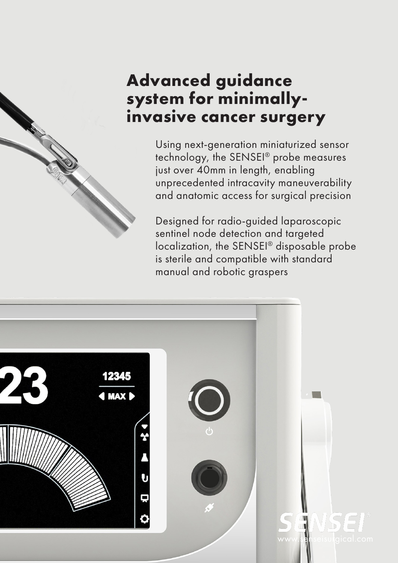# **Advanced guidance system for minimallyinvasive cancer surgery**

Using next-generation miniaturized sensor technology, the SENSEI® probe measures just over 40mm in length, enabling unprecedented intracavity maneuverability and anatomic access for surgical precision

Designed for radio-guided laparoscopic sentinel node detection and targeted localization, the SENSEI® disposable probe is sterile and compatible with standard manual and robotic graspers